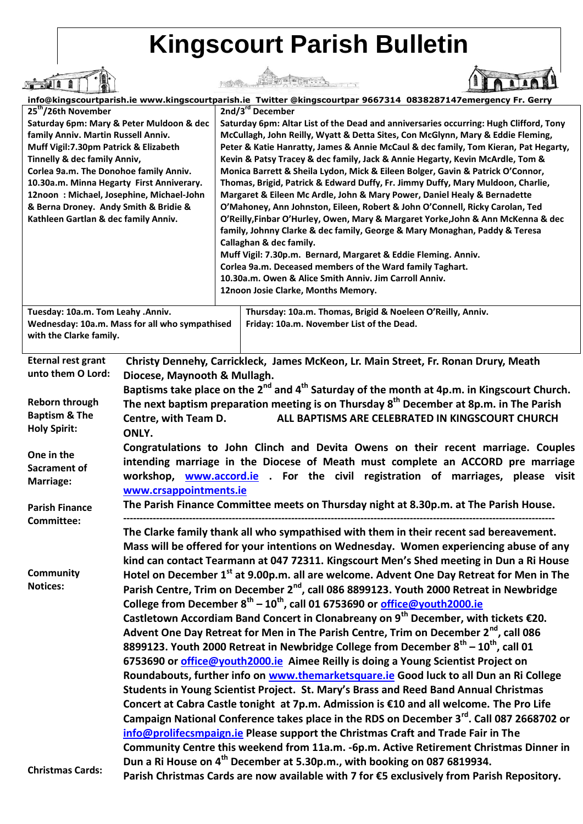## **Kingscourt Parish Bulletin**

| info@kingscourtparish.ie www.kingscourtparish.ie Twitter @kingscourtpar 9667314 0838287147emergency Fr. Gerry                                                                                                                                                                                                                                                                                                   |                                                                                                                                                                                                                                                                                                                                                                                                                                                                                                                                                                                                                                                                                                                                                  |                                                                                                                                                                                                                                                                                                                                                                                                                                                                                                                                                                                                                                                                                                                                                                                                                                                                                                                                                                                                                                                                                                                                                |                                                                                            |
|-----------------------------------------------------------------------------------------------------------------------------------------------------------------------------------------------------------------------------------------------------------------------------------------------------------------------------------------------------------------------------------------------------------------|--------------------------------------------------------------------------------------------------------------------------------------------------------------------------------------------------------------------------------------------------------------------------------------------------------------------------------------------------------------------------------------------------------------------------------------------------------------------------------------------------------------------------------------------------------------------------------------------------------------------------------------------------------------------------------------------------------------------------------------------------|------------------------------------------------------------------------------------------------------------------------------------------------------------------------------------------------------------------------------------------------------------------------------------------------------------------------------------------------------------------------------------------------------------------------------------------------------------------------------------------------------------------------------------------------------------------------------------------------------------------------------------------------------------------------------------------------------------------------------------------------------------------------------------------------------------------------------------------------------------------------------------------------------------------------------------------------------------------------------------------------------------------------------------------------------------------------------------------------------------------------------------------------|--------------------------------------------------------------------------------------------|
| 25 <sup>th</sup> /26th November<br>Saturday 6pm: Mary & Peter Muldoon & dec<br>family Anniv. Martin Russell Anniv.<br>Muff Vigil:7.30pm Patrick & Elizabeth<br>Tinnelly & dec family Anniv,<br>Corlea 9a.m. The Donohoe family Anniv.<br>10.30a.m. Minna Hegarty First Anniverary.<br>12noon: Michael, Josephine, Michael-John<br>& Berna Droney. Andy Smith & Bridie &<br>Kathleen Gartlan & dec family Anniv. |                                                                                                                                                                                                                                                                                                                                                                                                                                                                                                                                                                                                                                                                                                                                                  | 2nd/3 <sup>rd</sup> December<br>Saturday 6pm: Altar List of the Dead and anniversaries occurring: Hugh Clifford, Tony<br>McCullagh, John Reilly, Wyatt & Detta Sites, Con McGlynn, Mary & Eddie Fleming,<br>Peter & Katie Hanratty, James & Annie McCaul & dec family, Tom Kieran, Pat Hegarty,<br>Kevin & Patsy Tracey & dec family, Jack & Annie Hegarty, Kevin McArdle, Tom &<br>Monica Barrett & Sheila Lydon, Mick & Eileen Bolger, Gavin & Patrick O'Connor,<br>Thomas, Brigid, Patrick & Edward Duffy, Fr. Jimmy Duffy, Mary Muldoon, Charlie,<br>Margaret & Eileen Mc Ardle, John & Mary Power, Daniel Healy & Bernadette<br>O'Mahoney, Ann Johnston, Eileen, Robert & John O'Connell, Ricky Carolan, Ted<br>O'Reilly, Finbar O'Hurley, Owen, Mary & Margaret Yorke, John & Ann McKenna & dec<br>family, Johnny Clarke & dec family, George & Mary Monaghan, Paddy & Teresa<br>Callaghan & dec family.<br>Muff Vigil: 7.30p.m. Bernard, Margaret & Eddie Fleming. Anniv.<br>Corlea 9a.m. Deceased members of the Ward family Taghart.<br>10.30a.m. Owen & Alice Smith Anniv. Jim Carroll Anniv.<br>12noon Josie Clarke, Months Memory. |                                                                                            |
| Tuesday: 10a.m. Tom Leahy .Anniv.<br>Wednesday: 10a.m. Mass for all who sympathised<br>with the Clarke family.                                                                                                                                                                                                                                                                                                  |                                                                                                                                                                                                                                                                                                                                                                                                                                                                                                                                                                                                                                                                                                                                                  | Thursday: 10a.m. Thomas, Brigid & Noeleen O'Reilly, Anniv.<br>Friday: 10a.m. November List of the Dead.                                                                                                                                                                                                                                                                                                                                                                                                                                                                                                                                                                                                                                                                                                                                                                                                                                                                                                                                                                                                                                        |                                                                                            |
| <b>Eternal rest grant</b>                                                                                                                                                                                                                                                                                                                                                                                       | Christy Dennehy, Carrickleck, James McKeon, Lr. Main Street, Fr. Ronan Drury, Meath<br>unto them O Lord:<br>Diocese, Maynooth & Mullagh.<br>Baptisms take place on the 2 <sup>nd</sup> and 4 <sup>th</sup> Saturday of the month at 4p.m. in Kingscourt Church.<br>The next baptism preparation meeting is on Thursday 8 <sup>th</sup> December at 8p.m. in The Parish<br>ALL BAPTISMS ARE CELEBRATED IN KINGSCOURT CHURCH<br>Centre, with Team D.<br>ONLY.<br>Congratulations to John Clinch and Devita Owens on their recent marriage. Couples<br>intending marriage in the Diocese of Meath must complete an ACCORD pre marriage<br>workshop, www.accord.ie . For the civil registration of marriages, please visit<br>www.crsappointments.ie |                                                                                                                                                                                                                                                                                                                                                                                                                                                                                                                                                                                                                                                                                                                                                                                                                                                                                                                                                                                                                                                                                                                                                |                                                                                            |
|                                                                                                                                                                                                                                                                                                                                                                                                                 |                                                                                                                                                                                                                                                                                                                                                                                                                                                                                                                                                                                                                                                                                                                                                  |                                                                                                                                                                                                                                                                                                                                                                                                                                                                                                                                                                                                                                                                                                                                                                                                                                                                                                                                                                                                                                                                                                                                                |                                                                                            |
| <b>Reborn through</b><br><b>Baptism &amp; The</b><br><b>Holy Spirit:</b>                                                                                                                                                                                                                                                                                                                                        |                                                                                                                                                                                                                                                                                                                                                                                                                                                                                                                                                                                                                                                                                                                                                  |                                                                                                                                                                                                                                                                                                                                                                                                                                                                                                                                                                                                                                                                                                                                                                                                                                                                                                                                                                                                                                                                                                                                                |                                                                                            |
| One in the<br>Sacrament of<br><b>Marriage:</b>                                                                                                                                                                                                                                                                                                                                                                  |                                                                                                                                                                                                                                                                                                                                                                                                                                                                                                                                                                                                                                                                                                                                                  |                                                                                                                                                                                                                                                                                                                                                                                                                                                                                                                                                                                                                                                                                                                                                                                                                                                                                                                                                                                                                                                                                                                                                |                                                                                            |
| <b>Parish Finance</b>                                                                                                                                                                                                                                                                                                                                                                                           |                                                                                                                                                                                                                                                                                                                                                                                                                                                                                                                                                                                                                                                                                                                                                  |                                                                                                                                                                                                                                                                                                                                                                                                                                                                                                                                                                                                                                                                                                                                                                                                                                                                                                                                                                                                                                                                                                                                                | The Parish Finance Committee meets on Thursday night at 8.30p.m. at The Parish House.      |
| <b>Committee:</b>                                                                                                                                                                                                                                                                                                                                                                                               | The Clarke family thank all who sympathised with them in their recent sad bereavement.<br>Mass will be offered for your intentions on Wednesday. Women experiencing abuse of any<br>kind can contact Tearmann at 047 72311. Kingscourt Men's Shed meeting in Dun a Ri House                                                                                                                                                                                                                                                                                                                                                                                                                                                                      |                                                                                                                                                                                                                                                                                                                                                                                                                                                                                                                                                                                                                                                                                                                                                                                                                                                                                                                                                                                                                                                                                                                                                |                                                                                            |
| <b>Community</b><br><b>Notices:</b>                                                                                                                                                                                                                                                                                                                                                                             | Hotel on December 1 <sup>st</sup> at 9.00p.m. all are welcome. Advent One Day Retreat for Men in The<br>Parish Centre, Trim on December 2 <sup>nd</sup> , call 086 8899123. Youth 2000 Retreat in Newbridge                                                                                                                                                                                                                                                                                                                                                                                                                                                                                                                                      |                                                                                                                                                                                                                                                                                                                                                                                                                                                                                                                                                                                                                                                                                                                                                                                                                                                                                                                                                                                                                                                                                                                                                |                                                                                            |
|                                                                                                                                                                                                                                                                                                                                                                                                                 | College from December $8^{th}$ – 10 <sup>th</sup> , call 01 6753690 or office@youth2000.ie                                                                                                                                                                                                                                                                                                                                                                                                                                                                                                                                                                                                                                                       |                                                                                                                                                                                                                                                                                                                                                                                                                                                                                                                                                                                                                                                                                                                                                                                                                                                                                                                                                                                                                                                                                                                                                |                                                                                            |
|                                                                                                                                                                                                                                                                                                                                                                                                                 | Castletown Accordiam Band Concert in Clonabreany on $9th$ December, with tickets €20.                                                                                                                                                                                                                                                                                                                                                                                                                                                                                                                                                                                                                                                            |                                                                                                                                                                                                                                                                                                                                                                                                                                                                                                                                                                                                                                                                                                                                                                                                                                                                                                                                                                                                                                                                                                                                                |                                                                                            |
|                                                                                                                                                                                                                                                                                                                                                                                                                 | Advent One Day Retreat for Men in The Parish Centre, Trim on December 2 <sup>nd</sup> , call 086                                                                                                                                                                                                                                                                                                                                                                                                                                                                                                                                                                                                                                                 |                                                                                                                                                                                                                                                                                                                                                                                                                                                                                                                                                                                                                                                                                                                                                                                                                                                                                                                                                                                                                                                                                                                                                |                                                                                            |
|                                                                                                                                                                                                                                                                                                                                                                                                                 | 8899123. Youth 2000 Retreat in Newbridge College from December 8 <sup>th</sup> – 10 <sup>th</sup> , call 01                                                                                                                                                                                                                                                                                                                                                                                                                                                                                                                                                                                                                                      |                                                                                                                                                                                                                                                                                                                                                                                                                                                                                                                                                                                                                                                                                                                                                                                                                                                                                                                                                                                                                                                                                                                                                |                                                                                            |
|                                                                                                                                                                                                                                                                                                                                                                                                                 | 6753690 or office@youth2000.ie Aimee Reilly is doing a Young Scientist Project on                                                                                                                                                                                                                                                                                                                                                                                                                                                                                                                                                                                                                                                                |                                                                                                                                                                                                                                                                                                                                                                                                                                                                                                                                                                                                                                                                                                                                                                                                                                                                                                                                                                                                                                                                                                                                                |                                                                                            |
|                                                                                                                                                                                                                                                                                                                                                                                                                 | Roundabouts, further info on www.themarketsquare.ie Good luck to all Dun an Ri College<br>Students in Young Scientist Project. St. Mary's Brass and Reed Band Annual Christmas                                                                                                                                                                                                                                                                                                                                                                                                                                                                                                                                                                   |                                                                                                                                                                                                                                                                                                                                                                                                                                                                                                                                                                                                                                                                                                                                                                                                                                                                                                                                                                                                                                                                                                                                                |                                                                                            |
|                                                                                                                                                                                                                                                                                                                                                                                                                 | Concert at Cabra Castle tonight at 7p.m. Admission is €10 and all welcome. The Pro Life                                                                                                                                                                                                                                                                                                                                                                                                                                                                                                                                                                                                                                                          |                                                                                                                                                                                                                                                                                                                                                                                                                                                                                                                                                                                                                                                                                                                                                                                                                                                                                                                                                                                                                                                                                                                                                |                                                                                            |
|                                                                                                                                                                                                                                                                                                                                                                                                                 | Campaign National Conference takes place in the RDS on December 3 <sup>rd</sup> . Call 087 2668702 or                                                                                                                                                                                                                                                                                                                                                                                                                                                                                                                                                                                                                                            |                                                                                                                                                                                                                                                                                                                                                                                                                                                                                                                                                                                                                                                                                                                                                                                                                                                                                                                                                                                                                                                                                                                                                |                                                                                            |
|                                                                                                                                                                                                                                                                                                                                                                                                                 |                                                                                                                                                                                                                                                                                                                                                                                                                                                                                                                                                                                                                                                                                                                                                  | info@prolifecsmpaign.ie Please support the Christmas Craft and Trade Fair in The                                                                                                                                                                                                                                                                                                                                                                                                                                                                                                                                                                                                                                                                                                                                                                                                                                                                                                                                                                                                                                                               |                                                                                            |
|                                                                                                                                                                                                                                                                                                                                                                                                                 |                                                                                                                                                                                                                                                                                                                                                                                                                                                                                                                                                                                                                                                                                                                                                  |                                                                                                                                                                                                                                                                                                                                                                                                                                                                                                                                                                                                                                                                                                                                                                                                                                                                                                                                                                                                                                                                                                                                                | Community Centre this weekend from 11a.m. -6p.m. Active Retirement Christmas Dinner in     |
| <b>Christmas Cards:</b>                                                                                                                                                                                                                                                                                                                                                                                         |                                                                                                                                                                                                                                                                                                                                                                                                                                                                                                                                                                                                                                                                                                                                                  | Dun a Ri House on 4 <sup>th</sup> December at 5.30p.m., with booking on 087 6819934.                                                                                                                                                                                                                                                                                                                                                                                                                                                                                                                                                                                                                                                                                                                                                                                                                                                                                                                                                                                                                                                           | Parish Christmas Cards are now available with 7 for €5 exclusively from Parish Repository. |